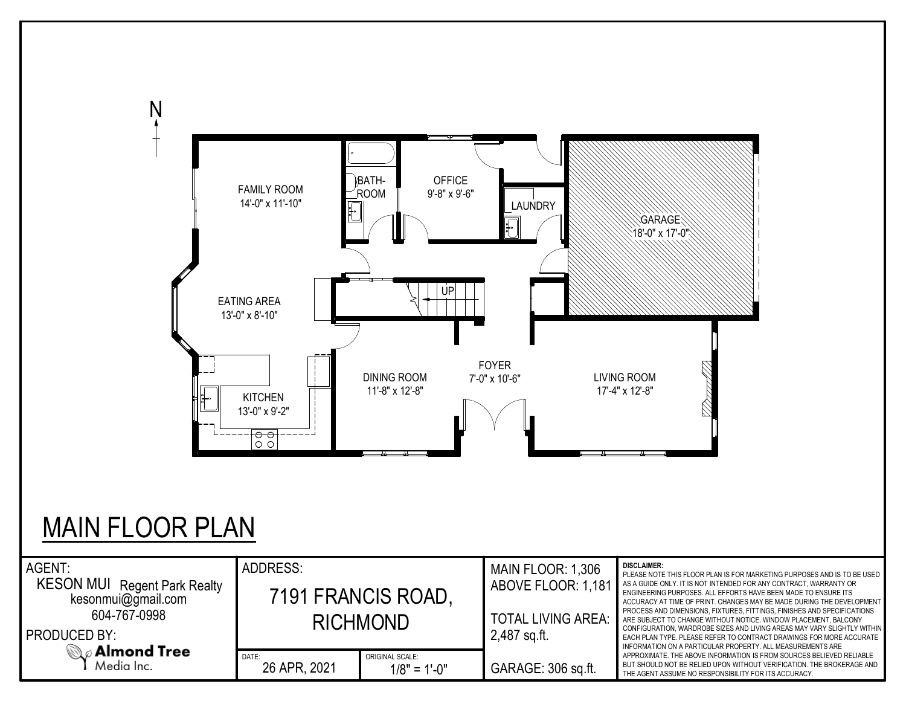

## MAIN FLOOR PLAN

| AGENT:<br><b>KESON MUI</b><br>Regent Park Realty<br>kesonmui@gmail.com<br>604-767-0998<br><b>PRODUCED BY:</b> | ADDRESS:              | 7191 FRANCIS ROAD,<br><b>RICHMOND</b> | MAIN FLOOR: 1,306<br>ABOVE FLOOR: 1,181<br><b>TOTAL LIVING AREA:</b><br>2,487 sq.ft. | <b>DISCLAIMER:</b><br>PLEASE NOTE THIS FLOOR PLAN IS FOR MARKETING PURPOSES AND IS TO BE USED<br>AS A GUIDE ONLY. IT IS NOT INTENDED FOR ANY CONTRACT, WARRANTY OR<br>ENGINEERING PURPOSES. ALL EFFORTS HAVE BEEN MADE TO ENSURE ITS<br>ACCURACY AT TIME OF PRINT. CHANGES MAY BE MADE DURING THE DEVELOPMENT<br>PROCESS AND DIMENSIONS, FIXTURES, FITTINGS, FINISHES AND SPECIFICATIONS<br>ARE SUBJECT TO CHANGE WITHOUT NOTICE. WINDOW PLACEMENT, BALCONY<br>CONFIGURATION, WARDROBE SIZES AND LIVING AREAS MAY VARY SLIGHTLY WITHIN<br>EACH PLAN TYPE. PLEASE REFER TO CONTRACT DRAWINGS FOR MORE ACCURATE<br>INFORMATION ON A PARTICULAR PROPERTY. ALL MEASUREMENTS ARE |  |  |  |  |
|---------------------------------------------------------------------------------------------------------------|-----------------------|---------------------------------------|--------------------------------------------------------------------------------------|-----------------------------------------------------------------------------------------------------------------------------------------------------------------------------------------------------------------------------------------------------------------------------------------------------------------------------------------------------------------------------------------------------------------------------------------------------------------------------------------------------------------------------------------------------------------------------------------------------------------------------------------------------------------------------|--|--|--|--|
| $\mathbb{Q}_{\ell}$ Almond Tree<br>Media Inc.                                                                 | DATE:<br>26 APR, 2021 | ORIGINAL SCALE:<br>$1/8" = 1'-0"$     | GARAGE: 306 sq.ft.                                                                   | APPROXIMATE. THE ABOVE INFORMATION IS FROM SOURCES BELIEVED RELIABLE<br>BUT SHOULD NOT BE RELIED UPON WITHOUT VERIFICATION. THE BROKERAGE AND<br>THE AGENT ASSUME NO RESPONSIBILITY FOR ITS ACCURACY.                                                                                                                                                                                                                                                                                                                                                                                                                                                                       |  |  |  |  |